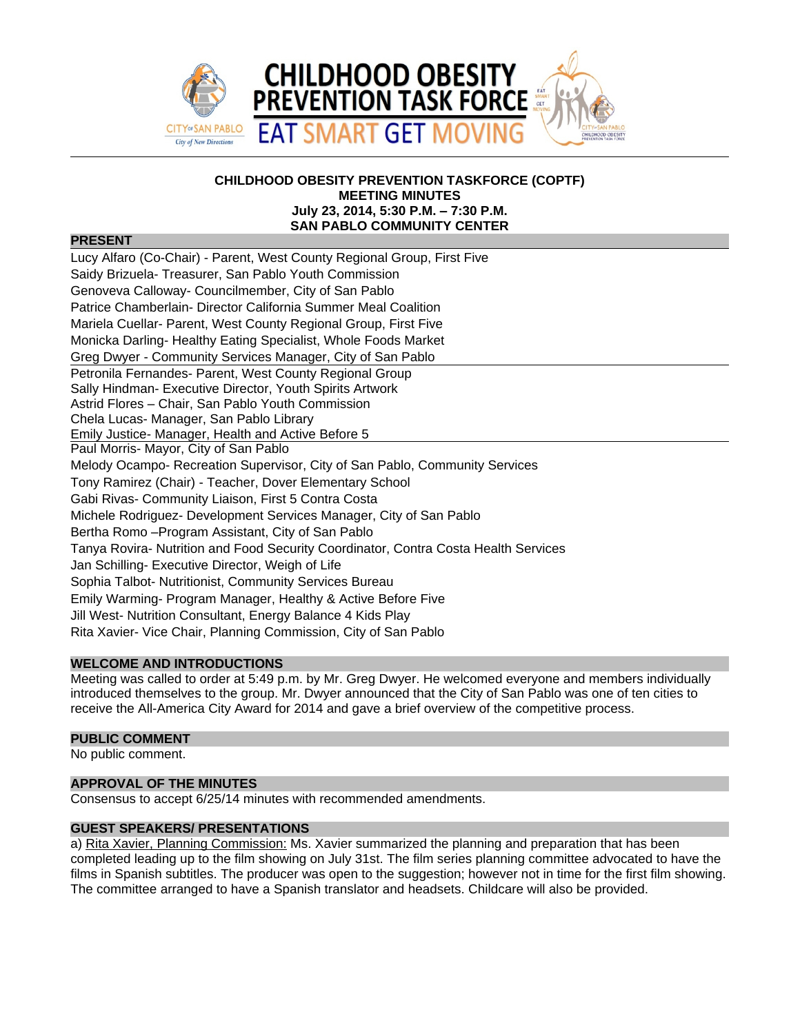

### **CHILDHOOD OBESITY PREVENTION TASKFORCE (COPTF) MEETING MINUTES July 23, 2014, 5:30 P.M. – 7:30 P.M. SAN PABLO COMMUNITY CENTER**

### **PRESENT**

| Lucy Alfaro (Co-Chair) - Parent, West County Regional Group, First Five             |
|-------------------------------------------------------------------------------------|
| Saidy Brizuela- Treasurer, San Pablo Youth Commission                               |
| Genoveva Calloway- Councilmember, City of San Pablo                                 |
| Patrice Chamberlain- Director California Summer Meal Coalition                      |
| Mariela Cuellar- Parent, West County Regional Group, First Five                     |
| Monicka Darling-Healthy Eating Specialist, Whole Foods Market                       |
| Greg Dwyer - Community Services Manager, City of San Pablo                          |
| Petronila Fernandes- Parent, West County Regional Group                             |
| Sally Hindman- Executive Director, Youth Spirits Artwork                            |
| Astrid Flores - Chair, San Pablo Youth Commission                                   |
| Chela Lucas- Manager, San Pablo Library                                             |
| Emily Justice- Manager, Health and Active Before 5                                  |
| Paul Morris- Mayor, City of San Pablo                                               |
| Melody Ocampo- Recreation Supervisor, City of San Pablo, Community Services         |
| Tony Ramirez (Chair) - Teacher, Dover Elementary School                             |
| Gabi Rivas- Community Liaison, First 5 Contra Costa                                 |
| Michele Rodriguez- Development Services Manager, City of San Pablo                  |
| Bertha Romo - Program Assistant, City of San Pablo                                  |
| Tanya Rovira- Nutrition and Food Security Coordinator, Contra Costa Health Services |
| Jan Schilling- Executive Director, Weigh of Life                                    |
| Sophia Talbot- Nutritionist, Community Services Bureau                              |
| Emily Warming- Program Manager, Healthy & Active Before Five                        |
| Jill West- Nutrition Consultant, Energy Balance 4 Kids Play                         |
| Rita Xavier- Vice Chair, Planning Commission, City of San Pablo                     |

# **WELCOME AND INTRODUCTIONS**

Meeting was called to order at 5:49 p.m. by Mr. Greg Dwyer. He welcomed everyone and members individually introduced themselves to the group. Mr. Dwyer announced that the City of San Pablo was one of ten cities to receive the All-America City Award for 2014 and gave a brief overview of the competitive process.

#### **PUBLIC COMMENT**

No public comment.

# **APPROVAL OF THE MINUTES**

Consensus to accept 6/25/14 minutes with recommended amendments.

# **GUEST SPEAKERS/ PRESENTATIONS**

a) Rita Xavier, Planning Commission: Ms. Xavier summarized the planning and preparation that has been completed leading up to the film showing on July 31st. The film series planning committee advocated to have the films in Spanish subtitles. The producer was open to the suggestion; however not in time for the first film showing. The committee arranged to have a Spanish translator and headsets. Childcare will also be provided.